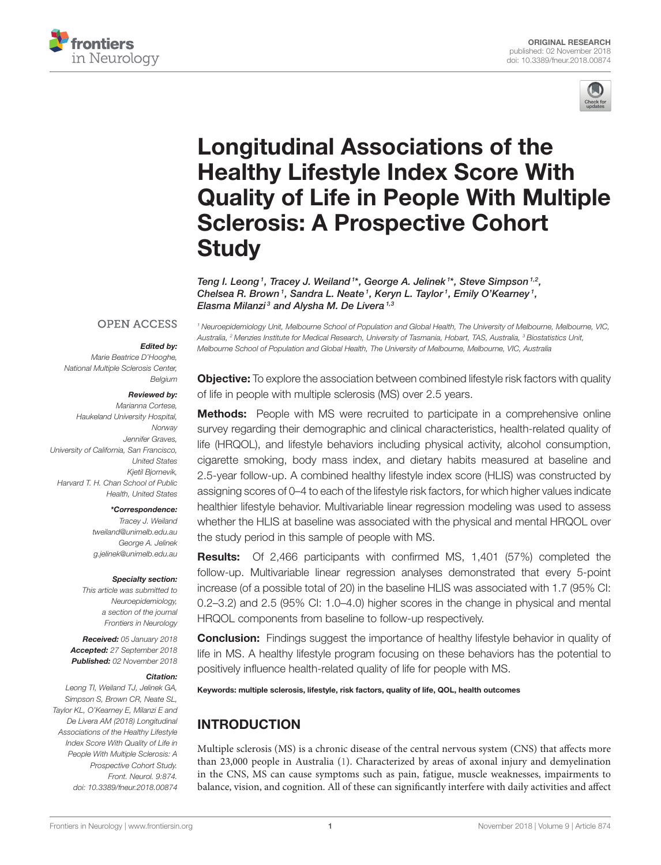



# Longitudinal Associations of the Healthy Lifestyle Index Score With [Quality of Life in People With Multiple](https://www.frontiersin.org/articles/10.3389/fneur.2018.00874/full) Sclerosis: A Prospective Cohort **Study**

[Teng I. Leong](http://loop.frontiersin.org/people/512756/overview)<sup>1</sup>, [Tracey J. Weiland](http://loop.frontiersin.org/people/434971/overview)<sup>1\*</sup>, [George A. Jelinek](http://loop.frontiersin.org/people/434012/overview)<sup>1\*</sup>, Steve Simpson<sup>1,2</sup>, [Chelsea R. Brown](http://loop.frontiersin.org/people/437401/overview)<sup>1</sup>, [Sandra L. Neate](http://loop.frontiersin.org/people/436341/overview)<sup>1</sup>, [Keryn L. Taylor](http://loop.frontiersin.org/people/440837/overview)<sup>1</sup>, Emily O'Kearney<sup>1</sup>, Elasma Milanzi<sup>3</sup> and [Alysha M. De Livera](http://loop.frontiersin.org/people/437802/overview)<sup>1,3</sup>

#### **OPEN ACCESS**

#### Edited by:

*Marie Beatrice D'Hooghe, National Multiple Sclerosis Center, Belgium*

#### Reviewed by:

*Marianna Cortese, Haukeland University Hospital, Norway Jennifer Graves, University of California, San Francisco, United States Kjetil Bjornevik, Harvard T. H. Chan School of Public Health, United States*

#### \*Correspondence:

*Tracey J. Weiland [tweiland@unimelb.edu.au](mailto:tweiland@unimelb.edu.au) George A. Jelinek [g.jelinek@unimelb.edu.au](mailto:g.jelinek@unimelb.edu.au)*

#### Specialty section:

*This article was submitted to Neuroepidemiology, a section of the journal Frontiers in Neurology*

Received: *05 January 2018* Accepted: *27 September 2018* Published: *02 November 2018*

#### Citation:

*Leong TI, Weiland TJ, Jelinek GA, Simpson S, Brown CR, Neate SL, Taylor KL, O'Kearney E, Milanzi E and De Livera AM (2018) Longitudinal Associations of the Healthy Lifestyle Index Score With Quality of Life in People With Multiple Sclerosis: A Prospective Cohort Study. Front. Neurol. 9:874. doi: [10.3389/fneur.2018.00874](https://doi.org/10.3389/fneur.2018.00874)*

*<sup>1</sup> Neuroepidemiology Unit, Melbourne School of Population and Global Health, The University of Melbourne, Melbourne, VIC, Australia, <sup>2</sup> Menzies Institute for Medical Research, University of Tasmania, Hobart, TAS, Australia, <sup>3</sup> Biostatistics Unit, Melbourne School of Population and Global Health, The University of Melbourne, Melbourne, VIC, Australia*

**Objective:** To explore the association between combined lifestyle risk factors with quality of life in people with multiple sclerosis (MS) over 2.5 years.

**Methods:** People with MS were recruited to participate in a comprehensive online survey regarding their demographic and clinical characteristics, health-related quality of life (HRQOL), and lifestyle behaviors including physical activity, alcohol consumption, cigarette smoking, body mass index, and dietary habits measured at baseline and 2.5-year follow-up. A combined healthy lifestyle index score (HLIS) was constructed by assigning scores of 0–4 to each of the lifestyle risk factors, for which higher values indicate healthier lifestyle behavior. Multivariable linear regression modeling was used to assess whether the HLIS at baseline was associated with the physical and mental HRQOL over the study period in this sample of people with MS.

Results: Of 2,466 participants with confirmed MS, 1,401 (57%) completed the follow-up. Multivariable linear regression analyses demonstrated that every 5-point increase (of a possible total of 20) in the baseline HLIS was associated with 1.7 (95% CI: 0.2–3.2) and 2.5 (95% CI: 1.0–4.0) higher scores in the change in physical and mental HRQOL components from baseline to follow-up respectively.

**Conclusion:** Findings suggest the importance of healthy lifestyle behavior in quality of life in MS. A healthy lifestyle program focusing on these behaviors has the potential to positively influence health-related quality of life for people with MS.

Keywords: multiple sclerosis, lifestyle, risk factors, quality of life, QOL, health outcomes

# INTRODUCTION

Multiple sclerosis (MS) is a chronic disease of the central nervous system (CNS) that affects more than 23,000 people in Australia [\(1\)](#page-7-0). Characterized by areas of axonal injury and demyelination in the CNS, MS can cause symptoms such as pain, fatigue, muscle weaknesses, impairments to balance, vision, and cognition. All of these can significantly interfere with daily activities and affect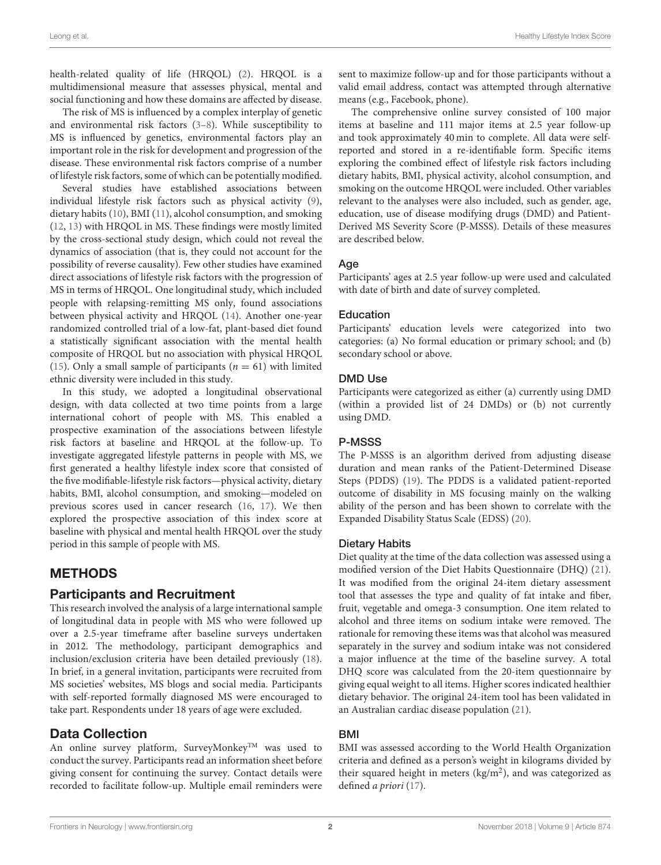health-related quality of life (HRQOL) [\(2\)](#page-7-1). HRQOL is a multidimensional measure that assesses physical, mental and social functioning and how these domains are affected by disease.

The risk of MS is influenced by a complex interplay of genetic and environmental risk factors [\(3–](#page-7-2)[8\)](#page-7-3). While susceptibility to MS is influenced by genetics, environmental factors play an important role in the risk for development and progression of the disease. These environmental risk factors comprise of a number of lifestyle risk factors, some of which can be potentially modified.

Several studies have established associations between individual lifestyle risk factors such as physical activity [\(9\)](#page-7-4), dietary habits [\(10\)](#page-7-5), BMI [\(11\)](#page-7-6), alcohol consumption, and smoking [\(12,](#page-7-7) [13\)](#page-7-8) with HRQOL in MS. These findings were mostly limited by the cross-sectional study design, which could not reveal the dynamics of association (that is, they could not account for the possibility of reverse causality). Few other studies have examined direct associations of lifestyle risk factors with the progression of MS in terms of HRQOL. One longitudinal study, which included people with relapsing-remitting MS only, found associations between physical activity and HRQOL [\(14\)](#page-7-9). Another one-year randomized controlled trial of a low-fat, plant-based diet found a statistically significant association with the mental health composite of HRQOL but no association with physical HRQOL [\(15\)](#page-7-10). Only a small sample of participants ( $n = 61$ ) with limited ethnic diversity were included in this study.

In this study, we adopted a longitudinal observational design, with data collected at two time points from a large international cohort of people with MS. This enabled a prospective examination of the associations between lifestyle risk factors at baseline and HRQOL at the follow-up. To investigate aggregated lifestyle patterns in people with MS, we first generated a healthy lifestyle index score that consisted of the five modifiable-lifestyle risk factors—physical activity, dietary habits, BMI, alcohol consumption, and smoking—modeled on previous scores used in cancer research [\(16,](#page-7-11) [17\)](#page-7-12). We then explored the prospective association of this index score at baseline with physical and mental health HRQOL over the study period in this sample of people with MS.

# METHODS

### Participants and Recruitment

This research involved the analysis of a large international sample of longitudinal data in people with MS who were followed up over a 2.5-year timeframe after baseline surveys undertaken in 2012. The methodology, participant demographics and inclusion/exclusion criteria have been detailed previously [\(18\)](#page-7-13). In brief, in a general invitation, participants were recruited from MS societies' websites, MS blogs and social media. Participants with self-reported formally diagnosed MS were encouraged to take part. Respondents under 18 years of age were excluded.

### Data Collection

An online survey platform, SurveyMonkey<sup>TM</sup> was used to conduct the survey. Participants read an information sheet before giving consent for continuing the survey. Contact details were recorded to facilitate follow-up. Multiple email reminders were sent to maximize follow-up and for those participants without a valid email address, contact was attempted through alternative means (e.g., Facebook, phone).

The comprehensive online survey consisted of 100 major items at baseline and 111 major items at 2.5 year follow-up and took approximately 40 min to complete. All data were selfreported and stored in a re-identifiable form. Specific items exploring the combined effect of lifestyle risk factors including dietary habits, BMI, physical activity, alcohol consumption, and smoking on the outcome HRQOL were included. Other variables relevant to the analyses were also included, such as gender, age, education, use of disease modifying drugs (DMD) and Patient-Derived MS Severity Score (P-MSSS). Details of these measures are described below.

#### Age

Participants' ages at 2.5 year follow-up were used and calculated with date of birth and date of survey completed.

#### Education

Participants' education levels were categorized into two categories: (a) No formal education or primary school; and (b) secondary school or above.

#### DMD Use

Participants were categorized as either (a) currently using DMD (within a provided list of 24 DMDs) or (b) not currently using DMD.

### P-MSSS

The P-MSSS is an algorithm derived from adjusting disease duration and mean ranks of the Patient-Determined Disease Steps (PDDS) [\(19\)](#page-7-14). The PDDS is a validated patient-reported outcome of disability in MS focusing mainly on the walking ability of the person and has been shown to correlate with the Expanded Disability Status Scale (EDSS) [\(20\)](#page-7-15).

#### Dietary Habits

Diet quality at the time of the data collection was assessed using a modified version of the Diet Habits Questionnaire (DHQ) [\(21\)](#page-7-16). It was modified from the original 24-item dietary assessment tool that assesses the type and quality of fat intake and fiber, fruit, vegetable and omega-3 consumption. One item related to alcohol and three items on sodium intake were removed. The rationale for removing these items was that alcohol was measured separately in the survey and sodium intake was not considered a major influence at the time of the baseline survey. A total DHQ score was calculated from the 20-item questionnaire by giving equal weight to all items. Higher scores indicated healthier dietary behavior. The original 24-item tool has been validated in an Australian cardiac disease population [\(21\)](#page-7-16).

### BMI

BMI was assessed according to the World Health Organization criteria and defined as a person's weight in kilograms divided by their squared height in meters (kg/m<sup>2</sup>), and was categorized as defined a priori [\(17\)](#page-7-12).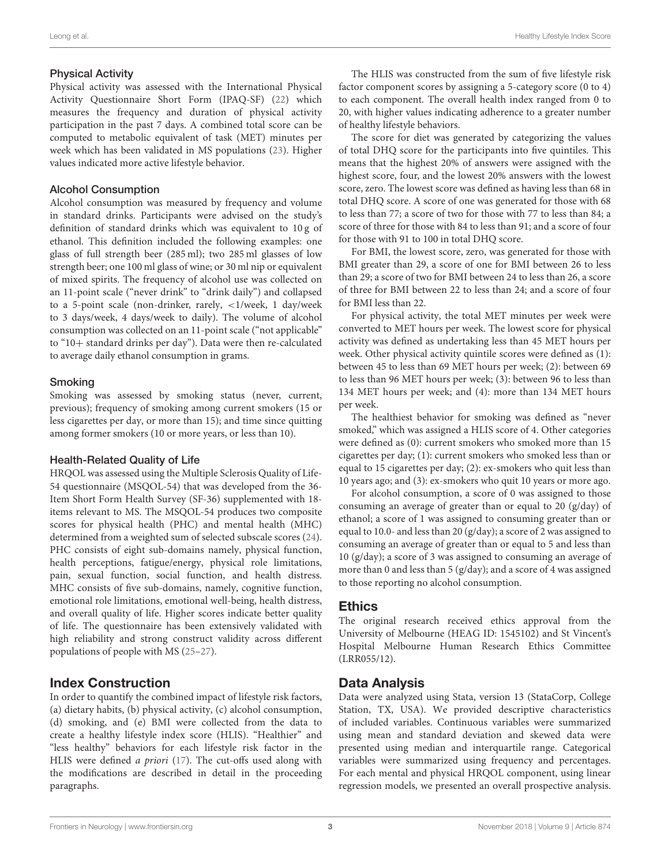#### Physical Activity

Physical activity was assessed with the International Physical Activity Questionnaire Short Form (IPAQ-SF) [\(22\)](#page-7-17) which measures the frequency and duration of physical activity participation in the past 7 days. A combined total score can be computed to metabolic equivalent of task (MET) minutes per week which has been validated in MS populations [\(23\)](#page-8-0). Higher values indicated more active lifestyle behavior.

#### Alcohol Consumption

Alcohol consumption was measured by frequency and volume in standard drinks. Participants were advised on the study's definition of standard drinks which was equivalent to 10 g of ethanol. This definition included the following examples: one glass of full strength beer (285 ml); two 285 ml glasses of low strength beer; one 100 ml glass of wine; or 30 ml nip or equivalent of mixed spirits. The frequency of alcohol use was collected on an 11-point scale ("never drink" to "drink daily") and collapsed to a 5-point scale (non-drinker, rarely, <1/week, 1 day/week to 3 days/week, 4 days/week to daily). The volume of alcohol consumption was collected on an 11-point scale ("not applicable" to "10+ standard drinks per day"). Data were then re-calculated to average daily ethanol consumption in grams.

#### Smoking

Smoking was assessed by smoking status (never, current, previous); frequency of smoking among current smokers (15 or less cigarettes per day, or more than 15); and time since quitting among former smokers (10 or more years, or less than 10).

### Health-Related Quality of Life

HRQOL was assessed using the Multiple Sclerosis Quality of Life-54 questionnaire (MSQOL-54) that was developed from the 36- Item Short Form Health Survey (SF-36) supplemented with 18 items relevant to MS. The MSQOL-54 produces two composite scores for physical health (PHC) and mental health (MHC) determined from a weighted sum of selected subscale scores [\(24\)](#page-8-1). PHC consists of eight sub-domains namely, physical function, health perceptions, fatigue/energy, physical role limitations, pain, sexual function, social function, and health distress. MHC consists of five sub-domains, namely, cognitive function, emotional role limitations, emotional well-being, health distress, and overall quality of life. Higher scores indicate better quality of life. The questionnaire has been extensively validated with high reliability and strong construct validity across different populations of people with MS [\(25–](#page-8-2)[27\)](#page-8-3).

### Index Construction

In order to quantify the combined impact of lifestyle risk factors, (a) dietary habits, (b) physical activity, (c) alcohol consumption, (d) smoking, and (e) BMI were collected from the data to create a healthy lifestyle index score (HLIS). "Healthier" and "less healthy" behaviors for each lifestyle risk factor in the HLIS were defined *a priori* [\(17\)](#page-7-12). The cut-offs used along with the modifications are described in detail in the proceeding paragraphs.

The HLIS was constructed from the sum of five lifestyle risk factor component scores by assigning a 5-category score (0 to 4) to each component. The overall health index ranged from 0 to 20, with higher values indicating adherence to a greater number of healthy lifestyle behaviors.

The score for diet was generated by categorizing the values of total DHQ score for the participants into five quintiles. This means that the highest 20% of answers were assigned with the highest score, four, and the lowest 20% answers with the lowest score, zero. The lowest score was defined as having less than 68 in total DHQ score. A score of one was generated for those with 68 to less than 77; a score of two for those with 77 to less than 84; a score of three for those with 84 to less than 91; and a score of four for those with 91 to 100 in total DHQ score.

For BMI, the lowest score, zero, was generated for those with BMI greater than 29, a score of one for BMI between 26 to less than 29; a score of two for BMI between 24 to less than 26, a score of three for BMI between 22 to less than 24; and a score of four for BMI less than 22.

For physical activity, the total MET minutes per week were converted to MET hours per week. The lowest score for physical activity was defined as undertaking less than 45 MET hours per week. Other physical activity quintile scores were defined as (1): between 45 to less than 69 MET hours per week; (2): between 69 to less than 96 MET hours per week; (3): between 96 to less than 134 MET hours per week; and (4): more than 134 MET hours per week.

The healthiest behavior for smoking was defined as "never smoked," which was assigned a HLIS score of 4. Other categories were defined as (0): current smokers who smoked more than 15 cigarettes per day; (1): current smokers who smoked less than or equal to 15 cigarettes per day; (2): ex-smokers who quit less than 10 years ago; and (3): ex-smokers who quit 10 years or more ago.

For alcohol consumption, a score of 0 was assigned to those consuming an average of greater than or equal to 20 (g/day) of ethanol; a score of 1 was assigned to consuming greater than or equal to 10.0- and less than 20 (g/day); a score of 2 was assigned to consuming an average of greater than or equal to 5 and less than 10 (g/day); a score of 3 was assigned to consuming an average of more than 0 and less than 5 (g/day); and a score of 4 was assigned to those reporting no alcohol consumption.

# **Ethics**

The original research received ethics approval from the University of Melbourne (HEAG ID: 1545102) and St Vincent's Hospital Melbourne Human Research Ethics Committee (LRR055/12).

# Data Analysis

Data were analyzed using Stata, version 13 (StataCorp, College Station, TX, USA). We provided descriptive characteristics of included variables. Continuous variables were summarized using mean and standard deviation and skewed data were presented using median and interquartile range. Categorical variables were summarized using frequency and percentages. For each mental and physical HRQOL component, using linear regression models, we presented an overall prospective analysis.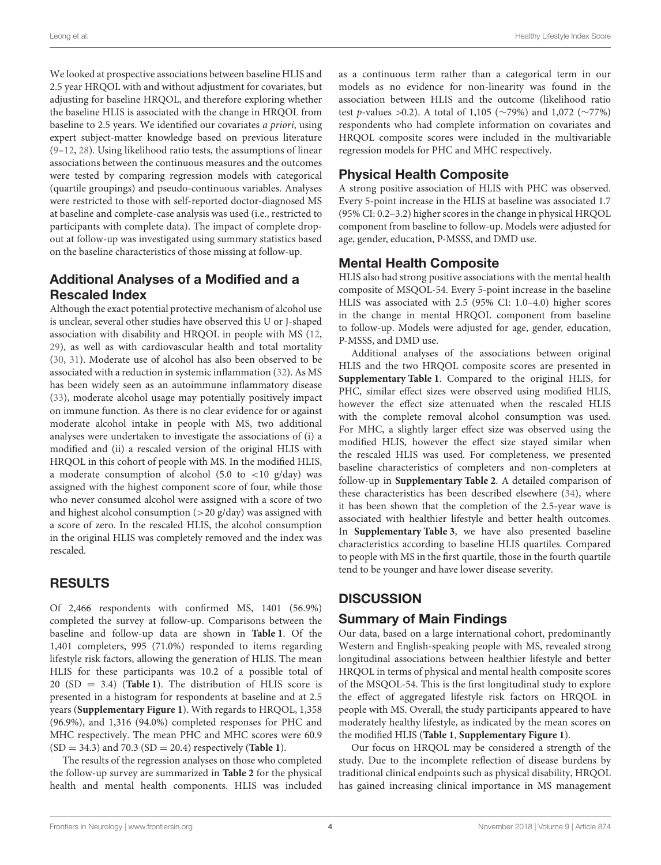Leong et al. Healthy Lifestyle Index Score

We looked at prospective associations between baseline HLIS and 2.5 year HRQOL with and without adjustment for covariates, but adjusting for baseline HRQOL, and therefore exploring whether the baseline HLIS is associated with the change in HRQOL from baseline to 2.5 years. We identified our covariates a priori, using expert subject-matter knowledge based on previous literature [\(9–](#page-7-4)[12,](#page-7-7) [28\)](#page-8-4). Using likelihood ratio tests, the assumptions of linear associations between the continuous measures and the outcomes were tested by comparing regression models with categorical (quartile groupings) and pseudo-continuous variables. Analyses were restricted to those with self-reported doctor-diagnosed MS at baseline and complete-case analysis was used (i.e., restricted to participants with complete data). The impact of complete dropout at follow-up was investigated using summary statistics based on the baseline characteristics of those missing at follow-up.

# Additional Analyses of a Modified and a Rescaled Index

Although the exact potential protective mechanism of alcohol use is unclear, several other studies have observed this U or J-shaped association with disability and HRQOL in people with MS [\(12,](#page-7-7) [29\)](#page-8-5), as well as with cardiovascular health and total mortality [\(30,](#page-8-6) [31\)](#page-8-7). Moderate use of alcohol has also been observed to be associated with a reduction in systemic inflammation [\(32\)](#page-8-8). As MS has been widely seen as an autoimmune inflammatory disease [\(33\)](#page-8-9), moderate alcohol usage may potentially positively impact on immune function. As there is no clear evidence for or against moderate alcohol intake in people with MS, two additional analyses were undertaken to investigate the associations of (i) a modified and (ii) a rescaled version of the original HLIS with HRQOL in this cohort of people with MS. In the modified HLIS, a moderate consumption of alcohol (5.0 to  $\langle 10 \text{ g/day} \rangle$  was assigned with the highest component score of four, while those who never consumed alcohol were assigned with a score of two and highest alcohol consumption  $(>20 \text{ g/day})$  was assigned with a score of zero. In the rescaled HLIS, the alcohol consumption in the original HLIS was completely removed and the index was rescaled.

# RESULTS

Of 2,466 respondents with confirmed MS, 1401 (56.9%) completed the survey at follow-up. Comparisons between the baseline and follow-up data are shown in **[Table 1](#page-4-0)**. Of the 1,401 completers, 995 (71.0%) responded to items regarding lifestyle risk factors, allowing the generation of HLIS. The mean HLIS for these participants was 10.2 of a possible total of 20 (SD = 3.4) (**[Table 1](#page-4-0)**). The distribution of HLIS score is presented in a histogram for respondents at baseline and at 2.5 years (**[Supplementary Figure 1](#page-7-18)**). With regards to HRQOL, 1,358 (96.9%), and 1,316 (94.0%) completed responses for PHC and MHC respectively. The mean PHC and MHC scores were 60.9 (SD = 34.3) and 70.3 (SD = 20.4) respectively (**[Table 1](#page-4-0)**).

The results of the regression analyses on those who completed the follow-up survey are summarized in **[Table 2](#page-5-0)** for the physical health and mental health components. HLIS was included as a continuous term rather than a categorical term in our models as no evidence for non-linearity was found in the association between HLIS and the outcome (likelihood ratio test p-values >0.2). A total of 1,105 (∼79%) and 1,072 (∼77%) respondents who had complete information on covariates and HRQOL composite scores were included in the multivariable regression models for PHC and MHC respectively.

# Physical Health Composite

A strong positive association of HLIS with PHC was observed. Every 5-point increase in the HLIS at baseline was associated 1.7 (95% CI: 0.2–3.2) higher scores in the change in physical HRQOL component from baseline to follow-up. Models were adjusted for age, gender, education, P-MSSS, and DMD use.

# Mental Health Composite

HLIS also had strong positive associations with the mental health composite of MSQOL-54. Every 5-point increase in the baseline HLIS was associated with 2.5 (95% CI: 1.0–4.0) higher scores in the change in mental HRQOL component from baseline to follow-up. Models were adjusted for age, gender, education, P-MSSS, and DMD use.

Additional analyses of the associations between original HLIS and the two HRQOL composite scores are presented in **[Supplementary Table 1](#page-7-18)**. Compared to the original HLIS, for PHC, similar effect sizes were observed using modified HLIS, however the effect size attenuated when the rescaled HLIS with the complete removal alcohol consumption was used. For MHC, a slightly larger effect size was observed using the modified HLIS, however the effect size stayed similar when the rescaled HLIS was used. For completeness, we presented baseline characteristics of completers and non-completers at follow-up in **[Supplementary Table 2](#page-7-18)**. A detailed comparison of these characteristics has been described elsewhere [\(34\)](#page-8-10), where it has been shown that the completion of the 2.5-year wave is associated with healthier lifestyle and better health outcomes. In **[Supplementary Table 3](#page-7-18)**, we have also presented baseline characteristics according to baseline HLIS quartiles. Compared to people with MS in the first quartile, those in the fourth quartile tend to be younger and have lower disease severity.

# **DISCUSSION**

# Summary of Main Findings

Our data, based on a large international cohort, predominantly Western and English-speaking people with MS, revealed strong longitudinal associations between healthier lifestyle and better HRQOL in terms of physical and mental health composite scores of the MSQOL-54. This is the first longitudinal study to explore the effect of aggregated lifestyle risk factors on HRQOL in people with MS. Overall, the study participants appeared to have moderately healthy lifestyle, as indicated by the mean scores on the modified HLIS (**[Table 1](#page-4-0)**, **[Supplementary Figure 1](#page-7-18)**).

Our focus on HRQOL may be considered a strength of the study. Due to the incomplete reflection of disease burdens by traditional clinical endpoints such as physical disability, HRQOL has gained increasing clinical importance in MS management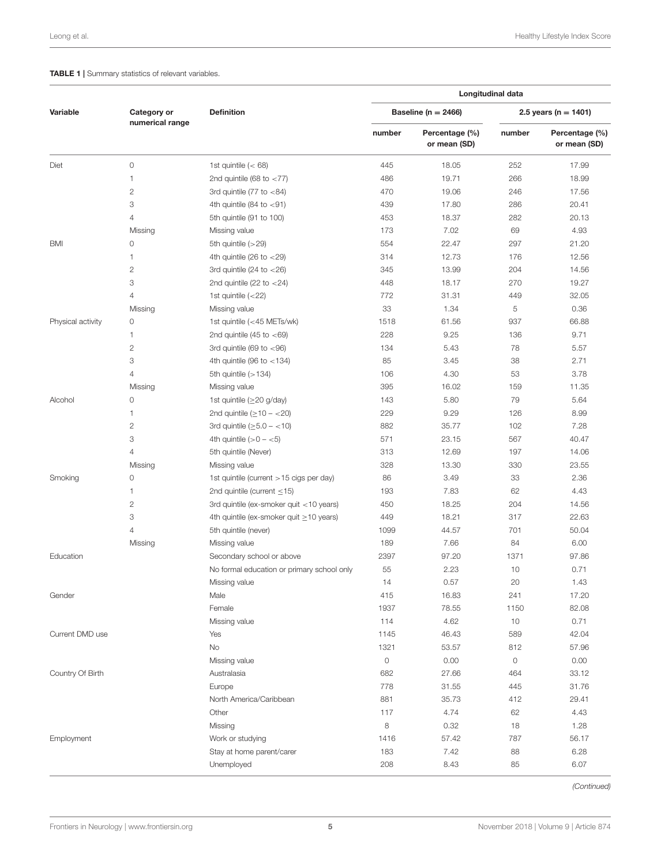#### <span id="page-4-0"></span>**TABLE 1** | Summary statistics of relevant variables.

|                   | Category or<br>numerical range |                                               | Longitudinal data |                                |                          |                                |  |  |
|-------------------|--------------------------------|-----------------------------------------------|-------------------|--------------------------------|--------------------------|--------------------------------|--|--|
| Variable          |                                | <b>Definition</b>                             |                   | Baseline ( $n = 2466$ )        | 2.5 years ( $n = 1401$ ) |                                |  |  |
|                   |                                |                                               | number            | Percentage (%)<br>or mean (SD) | number                   | Percentage (%)<br>or mean (SD) |  |  |
| Diet              | 0                              | 1st quintile $(< 68)$                         | 445               | 18.05                          | 252                      | 17.99                          |  |  |
|                   | 1                              | 2nd quintile (68 to $<$ 77)                   | 486               | 19.71                          | 266                      | 18.99                          |  |  |
|                   | $\mathbf{2}$                   | 3rd quintile (77 to $<$ 84)                   | 470               | 19.06                          | 246                      | 17.56                          |  |  |
|                   | 3                              | 4th quintile (84 to $<$ 91)                   | 439               | 17.80                          | 286                      | 20.41                          |  |  |
|                   | $\overline{4}$                 | 5th quintile (91 to 100)                      | 453               | 18.37                          | 282                      | 20.13                          |  |  |
|                   | Missing                        | Missing value                                 | 173               | 7.02                           | 69                       | 4.93                           |  |  |
| BMI               | 0                              | 5th quintile (>29)                            | 554               | 22.47                          | 297                      | 21.20                          |  |  |
|                   | 1                              | 4th quintile (26 to $<$ 29)                   | 314               | 12.73                          | 176                      | 12.56                          |  |  |
|                   | $\mathbf{2}$                   | 3rd quintile (24 to $<$ 26)                   | 345               | 13.99                          | 204                      | 14.56                          |  |  |
|                   | 3                              | 2nd quintile (22 to $<$ 24)                   | 448               | 18.17                          | 270                      | 19.27                          |  |  |
|                   | $\overline{4}$                 | 1st quintile $(<22)$                          | 772               | 31.31                          | 449                      | 32.05                          |  |  |
|                   | Missing                        | Missing value                                 | 33                | 1.34                           | 5                        | 0.36                           |  |  |
| Physical activity | 0                              | 1st quintile (<45 METs/wk)                    | 1518              | 61.56                          | 937                      | 66.88                          |  |  |
|                   | 1                              | 2nd quintile (45 to $<$ 69)                   | 228               | 9.25                           | 136                      | 9.71                           |  |  |
|                   | $\mathbf{2}$                   | 3rd quintile (69 to $<$ 96)                   | 134               | 5.43                           | 78                       | 5.57                           |  |  |
|                   | 3                              | 4th quintile (96 to $<$ 134)                  | 85                | 3.45                           | 38                       | 2.71                           |  |  |
|                   | $\overline{4}$                 | 5th quintile $(>134)$                         | 106               | 4.30                           | 53                       | 3.78                           |  |  |
|                   | Missing                        | Missing value                                 | 395               | 16.02                          | 159                      | 11.35                          |  |  |
|                   | 0                              |                                               | 143               | 5.80                           | 79                       | 5.64                           |  |  |
| Alcohol           | 1                              | 1st quintile ( $\geq$ 20 g/day)               | 229               | 9.29                           | 126                      | 8.99                           |  |  |
|                   |                                | 2nd quintile ( $\geq$ 10 - <20)               |                   |                                |                          |                                |  |  |
|                   | $\mathbf{2}$                   | 3rd quintile $(\geq 5.0 - < 10)$              | 882               | 35.77                          | 102                      | 7.28                           |  |  |
|                   | 3                              | 4th quintile $(>0 - 5)$                       | 571               | 23.15                          | 567                      | 40.47                          |  |  |
|                   | $\overline{4}$                 | 5th quintile (Never)                          | 313               | 12.69                          | 197                      | 14.06                          |  |  |
|                   | Missing                        | Missing value                                 | 328               | 13.30                          | 330                      | 23.55                          |  |  |
| Smoking           | 0                              | 1st quintile (current > 15 cigs per day)      | 86                | 3.49                           | 33                       | 2.36                           |  |  |
|                   | 1                              | 2nd quintile (current $\leq$ 15)              | 193               | 7.83                           | 62                       | 4.43                           |  |  |
|                   | $\mathbf{2}$                   | 3rd quintile (ex-smoker quit <10 years)       | 450               | 18.25                          | 204                      | 14.56                          |  |  |
|                   | 3                              | 4th quintile (ex-smoker quit $\geq$ 10 years) | 449               | 18.21                          | 317                      | 22.63                          |  |  |
|                   | $\overline{4}$                 | 5th quintile (never)                          | 1099              | 44.57                          | 701                      | 50.04                          |  |  |
|                   | Missing                        | Missing value                                 | 189               | 7.66                           | 84                       | 6.00                           |  |  |
| Education         |                                | Secondary school or above                     | 2397              | 97.20                          | 1371                     | 97.86                          |  |  |
|                   |                                | No formal education or primary school only    | 55                | 2.23                           | 10                       | 0.71                           |  |  |
|                   |                                | Missing value                                 | 14                | 0.57                           | 20                       | 1.43                           |  |  |
| Gender            |                                | Male                                          | 415               | 16.83                          | 241                      | 17.20                          |  |  |
|                   |                                | Female                                        | 1937              | 78.55                          | 1150                     | 82.08                          |  |  |
|                   |                                | Missing value                                 | 114               | 4.62                           | 10                       | 0.71                           |  |  |
| Current DMD use   |                                | Yes                                           | 1145              | 46.43                          | 589                      | 42.04                          |  |  |
|                   |                                | No                                            | 1321              | 53.57                          | 812                      | 57.96                          |  |  |
|                   |                                | Missing value                                 | $\mathsf O$       | 0.00                           | 0                        | 0.00                           |  |  |
| Country Of Birth  |                                | Australasia                                   | 682               | 27.66                          | 464                      | 33.12                          |  |  |
|                   |                                | Europe                                        | 778               | 31.55                          | 445                      | 31.76                          |  |  |
|                   |                                | North America/Caribbean                       | 881               | 35.73                          | 412                      | 29.41                          |  |  |
|                   |                                | Other                                         | 117               | 4.74                           | 62                       | 4.43                           |  |  |
|                   |                                | Missing                                       | 8                 | 0.32                           | 18                       | 1.28                           |  |  |
| Employment        |                                | Work or studying                              | 1416              | 57.42                          | 787                      | 56.17                          |  |  |
|                   |                                | Stay at home parent/carer                     | 183               | 7.42                           | 88                       | 6.28                           |  |  |
|                   |                                | Unemployed                                    | 208               | 8.43                           | 85                       | 6.07                           |  |  |

*(Continued)*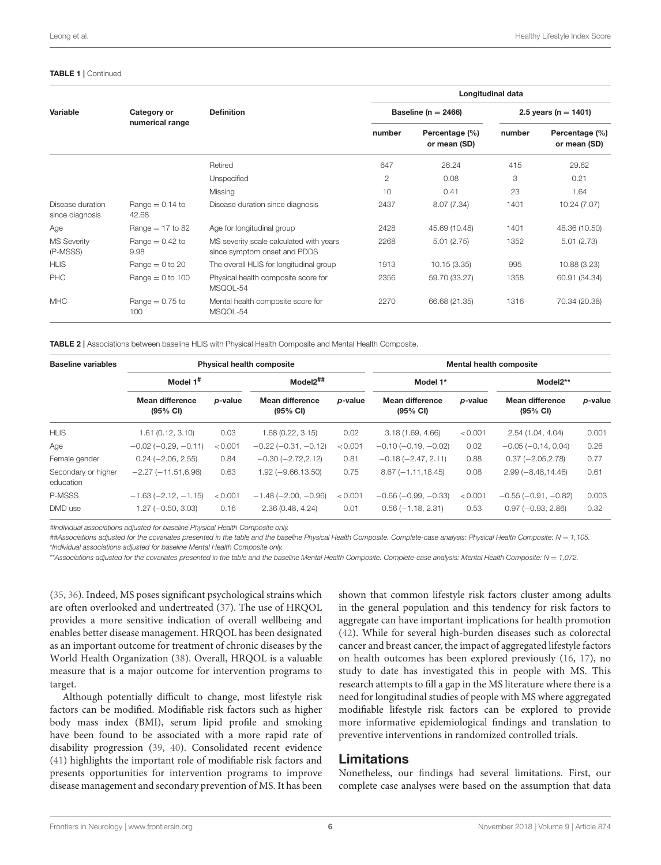#### TABLE 1 | Continued

| Variable                            | Category or<br>numerical range |                                                                         | Longitudinal data |                                |                          |                                |  |
|-------------------------------------|--------------------------------|-------------------------------------------------------------------------|-------------------|--------------------------------|--------------------------|--------------------------------|--|
|                                     |                                | <b>Definition</b>                                                       |                   | Baseline ( $n = 2466$ )        | 2.5 years ( $n = 1401$ ) |                                |  |
|                                     |                                |                                                                         | number            | Percentage (%)<br>or mean (SD) | number                   | Percentage (%)<br>or mean (SD) |  |
|                                     |                                | Retired                                                                 | 647               | 26.24                          | 415                      | 29.62                          |  |
|                                     |                                | Unspecified                                                             | $\overline{2}$    | 0.08                           | 3                        | 0.21                           |  |
|                                     |                                | Missing                                                                 | 10                | 0.41                           | 23                       | 1.64                           |  |
| Disease duration<br>since diagnosis | Range $= 0.14$ to<br>42.68     | Disease duration since diagnosis                                        | 2437              | 8.07 (7.34)                    | 1401                     | 10.24 (7.07)                   |  |
| Age                                 | Range $= 17$ to 82             | Age for longitudinal group                                              | 2428              | 45.69 (10.48)                  | 1401                     | 48.36 (10.50)                  |  |
| <b>MS Severity</b><br>(P-MSSS)      | Range $= 0.42$ to<br>9.98      | MS severity scale calculated with years<br>since symptom onset and PDDS | 2268              | 5.01(2.75)                     | 1352                     | 5.01(2.73)                     |  |
| <b>HLIS</b>                         | Range $= 0$ to 20              | The overall HLIS for longitudinal group                                 | 1913              | 10.15(3.35)                    | 995                      | 10.88 (3.23)                   |  |
| <b>PHC</b>                          | Range $= 0$ to 100             | Physical health composite score for<br>MSQOL-54                         | 2356              | 59.70 (33.27)                  | 1358                     | 60.91 (34.34)                  |  |
| <b>MHC</b>                          | Range $= 0.75$ to<br>100       | Mental health composite score for<br>MSQOL-54                           | 2270              | 66.68 (21.35)                  | 1316                     | 70.34 (20.38)                  |  |

<span id="page-5-0"></span>TABLE 2 | Associations between baseline HLIS with Physical Health Composite and Mental Health Composite.

| <b>Baseline variables</b>        | <b>Physical health composite</b>   |                 |                                       |         | <b>Mental health composite</b>               |         |                                       |         |
|----------------------------------|------------------------------------|-----------------|---------------------------------------|---------|----------------------------------------------|---------|---------------------------------------|---------|
|                                  | Model $1^{\#}$                     |                 | $Model2^{##}$                         |         | Model 1*                                     |         | Model2**                              |         |
|                                  | <b>Mean difference</b><br>(95% CI) | <i>p</i> -value | Mean difference<br>$(95% \text{ Cl})$ | p-value | <b>Mean difference</b><br>$(95% \text{ Cl})$ | p-value | Mean difference<br>$(95% \text{ Cl})$ | p-value |
| <b>HLIS</b>                      | 1.61(0.12, 3.10)                   | 0.03            | 1.68(0.22, 3.15)                      | 0.02    | 3.18(1.69, 4.66)                             | < 0.001 | 2.54 (1.04, 4.04)                     | 0.001   |
| Age                              | $-0.02$ ( $-0.29$ , $-0.11$ )      | < 0.001         | $-0.22$ ( $-0.31$ , $-0.12$ )         | < 0.001 | $-0.10$ ( $-0.19$ , $-0.02$ )                | 0.02    | $-0.05$ ( $-0.14$ , 0.04)             | 0.26    |
| Female gender                    | $0.24 (-2.06, 2.55)$               | 0.84            | $-0.30$ $(-2.72,2.12)$                | 0.81    | $-0.18(-2.47, 2.11)$                         | 0.88    | $0.37 (-2.05, 2.78)$                  | 0.77    |
| Secondary or higher<br>education | $-2.27(-11.51, 6.96)$              | 0.63            | $1.92 (-9.66, 13.50)$                 | 0.75    | $8.67(-1.11, 18.45)$                         | 0.08    | $2.99(-8.48, 14.46)$                  | 0.61    |
| P-MSSS                           | $-1.63$ ( $-2.12$ , $-1.15$ )      | < 0.001         | $-1.48$ ( $-2.00, -0.96$ )            | < 0.001 | $-0.66$ ( $-0.99$ , $-0.33$ )                | < 0.001 | $-0.55$ ( $-0.91$ , $-0.82$ )         | 0.003   |
| DMD use                          | $1.27 (-0.50, 3.03)$               | 0.16            | 2.36(0.48, 4.24)                      | 0.01    | $0.56(-1.18, 2.31)$                          | 0.53    | $0.97 (-0.93, 2.86)$                  | 0.32    |

*#Individual associations adjusted for baseline Physical Health Composite only.*

*##Associations adjusted for the covariates presented in the table and the baseline Physical Health Composite. Complete-case analysis: Physical Health Composite: N* = *1,105.* \**Individual associations adjusted for baseline Mental Health Composite only.*

\*\**Associations adjusted for the covariates presented in the table and the baseline Mental Health Composite. Complete-case analysis: Mental Health Composite: N* = *1,072.*

[\(35,](#page-8-11) [36\)](#page-8-12). Indeed, MS poses significant psychological strains which are often overlooked and undertreated [\(37\)](#page-8-13). The use of HRQOL provides a more sensitive indication of overall wellbeing and enables better disease management. HRQOL has been designated as an important outcome for treatment of chronic diseases by the World Health Organization [\(38\)](#page-8-14). Overall, HRQOL is a valuable measure that is a major outcome for intervention programs to target.

Although potentially difficult to change, most lifestyle risk factors can be modified. Modifiable risk factors such as higher body mass index (BMI), serum lipid profile and smoking have been found to be associated with a more rapid rate of disability progression [\(39,](#page-8-15) [40\)](#page-8-16). Consolidated recent evidence [\(41\)](#page-8-17) highlights the important role of modifiable risk factors and presents opportunities for intervention programs to improve disease management and secondary prevention of MS. It has been shown that common lifestyle risk factors cluster among adults in the general population and this tendency for risk factors to aggregate can have important implications for health promotion [\(42\)](#page-8-18). While for several high-burden diseases such as colorectal cancer and breast cancer, the impact of aggregated lifestyle factors on health outcomes has been explored previously [\(16,](#page-7-11) [17\)](#page-7-12), no study to date has investigated this in people with MS. This research attempts to fill a gap in the MS literature where there is a need for longitudinal studies of people with MS where aggregated modifiable lifestyle risk factors can be explored to provide more informative epidemiological findings and translation to preventive interventions in randomized controlled trials.

#### Limitations

Nonetheless, our findings had several limitations. First, our complete case analyses were based on the assumption that data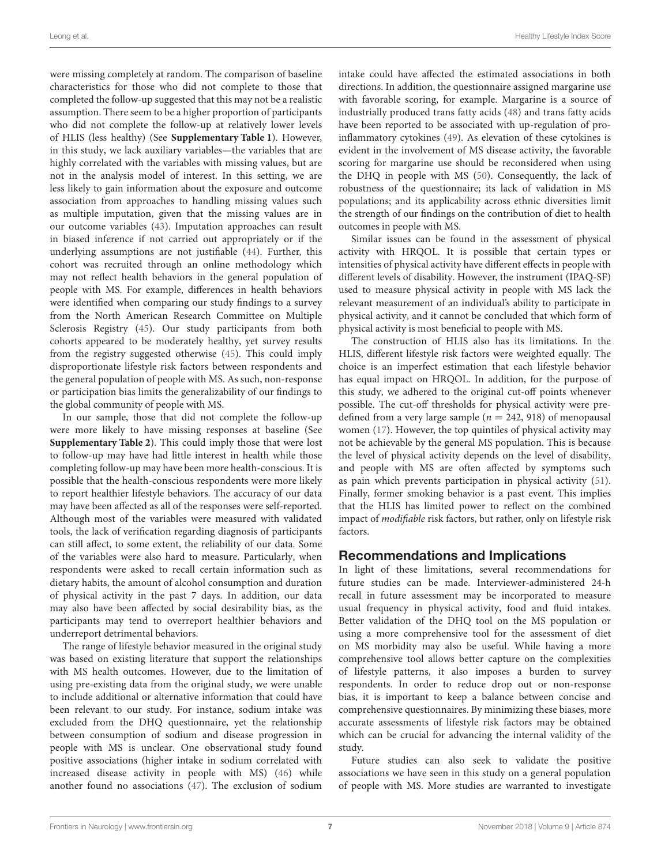were missing completely at random. The comparison of baseline characteristics for those who did not complete to those that completed the follow-up suggested that this may not be a realistic assumption. There seem to be a higher proportion of participants who did not complete the follow-up at relatively lower levels of HLIS (less healthy) (See **[Supplementary Table 1](#page-7-18)**). However, in this study, we lack auxiliary variables—the variables that are highly correlated with the variables with missing values, but are not in the analysis model of interest. In this setting, we are less likely to gain information about the exposure and outcome association from approaches to handling missing values such as multiple imputation, given that the missing values are in our outcome variables [\(43\)](#page-8-19). Imputation approaches can result in biased inference if not carried out appropriately or if the underlying assumptions are not justifiable [\(44\)](#page-8-20). Further, this cohort was recruited through an online methodology which may not reflect health behaviors in the general population of people with MS. For example, differences in health behaviors were identified when comparing our study findings to a survey from the North American Research Committee on Multiple Sclerosis Registry [\(45\)](#page-8-21). Our study participants from both cohorts appeared to be moderately healthy, yet survey results from the registry suggested otherwise [\(45\)](#page-8-21). This could imply disproportionate lifestyle risk factors between respondents and the general population of people with MS. As such, non-response or participation bias limits the generalizability of our findings to the global community of people with MS.

In our sample, those that did not complete the follow-up were more likely to have missing responses at baseline (See **[Supplementary Table 2](#page-7-18)**). This could imply those that were lost to follow-up may have had little interest in health while those completing follow-up may have been more health-conscious. It is possible that the health-conscious respondents were more likely to report healthier lifestyle behaviors. The accuracy of our data may have been affected as all of the responses were self-reported. Although most of the variables were measured with validated tools, the lack of verification regarding diagnosis of participants can still affect, to some extent, the reliability of our data. Some of the variables were also hard to measure. Particularly, when respondents were asked to recall certain information such as dietary habits, the amount of alcohol consumption and duration of physical activity in the past 7 days. In addition, our data may also have been affected by social desirability bias, as the participants may tend to overreport healthier behaviors and underreport detrimental behaviors.

The range of lifestyle behavior measured in the original study was based on existing literature that support the relationships with MS health outcomes. However, due to the limitation of using pre-existing data from the original study, we were unable to include additional or alternative information that could have been relevant to our study. For instance, sodium intake was excluded from the DHQ questionnaire, yet the relationship between consumption of sodium and disease progression in people with MS is unclear. One observational study found positive associations (higher intake in sodium correlated with increased disease activity in people with MS) [\(46\)](#page-8-22) while another found no associations [\(47\)](#page-8-23). The exclusion of sodium intake could have affected the estimated associations in both directions. In addition, the questionnaire assigned margarine use with favorable scoring, for example. Margarine is a source of industrially produced trans fatty acids [\(48\)](#page-8-24) and trans fatty acids have been reported to be associated with up-regulation of proinflammatory cytokines [\(49\)](#page-8-25). As elevation of these cytokines is evident in the involvement of MS disease activity, the favorable scoring for margarine use should be reconsidered when using the DHQ in people with MS [\(50\)](#page-8-26). Consequently, the lack of robustness of the questionnaire; its lack of validation in MS populations; and its applicability across ethnic diversities limit the strength of our findings on the contribution of diet to health outcomes in people with MS.

Similar issues can be found in the assessment of physical activity with HRQOL. It is possible that certain types or intensities of physical activity have different effects in people with different levels of disability. However, the instrument (IPAQ-SF) used to measure physical activity in people with MS lack the relevant measurement of an individual's ability to participate in physical activity, and it cannot be concluded that which form of physical activity is most beneficial to people with MS.

The construction of HLIS also has its limitations. In the HLIS, different lifestyle risk factors were weighted equally. The choice is an imperfect estimation that each lifestyle behavior has equal impact on HRQOL. In addition, for the purpose of this study, we adhered to the original cut-off points whenever possible. The cut-off thresholds for physical activity were predefined from a very large sample ( $n = 242, 918$ ) of menopausal women [\(17\)](#page-7-12). However, the top quintiles of physical activity may not be achievable by the general MS population. This is because the level of physical activity depends on the level of disability, and people with MS are often affected by symptoms such as pain which prevents participation in physical activity [\(51\)](#page-8-27). Finally, former smoking behavior is a past event. This implies that the HLIS has limited power to reflect on the combined impact of modifiable risk factors, but rather, only on lifestyle risk factors.

### Recommendations and Implications

In light of these limitations, several recommendations for future studies can be made. Interviewer-administered 24-h recall in future assessment may be incorporated to measure usual frequency in physical activity, food and fluid intakes. Better validation of the DHQ tool on the MS population or using a more comprehensive tool for the assessment of diet on MS morbidity may also be useful. While having a more comprehensive tool allows better capture on the complexities of lifestyle patterns, it also imposes a burden to survey respondents. In order to reduce drop out or non-response bias, it is important to keep a balance between concise and comprehensive questionnaires. By minimizing these biases, more accurate assessments of lifestyle risk factors may be obtained which can be crucial for advancing the internal validity of the study.

Future studies can also seek to validate the positive associations we have seen in this study on a general population of people with MS. More studies are warranted to investigate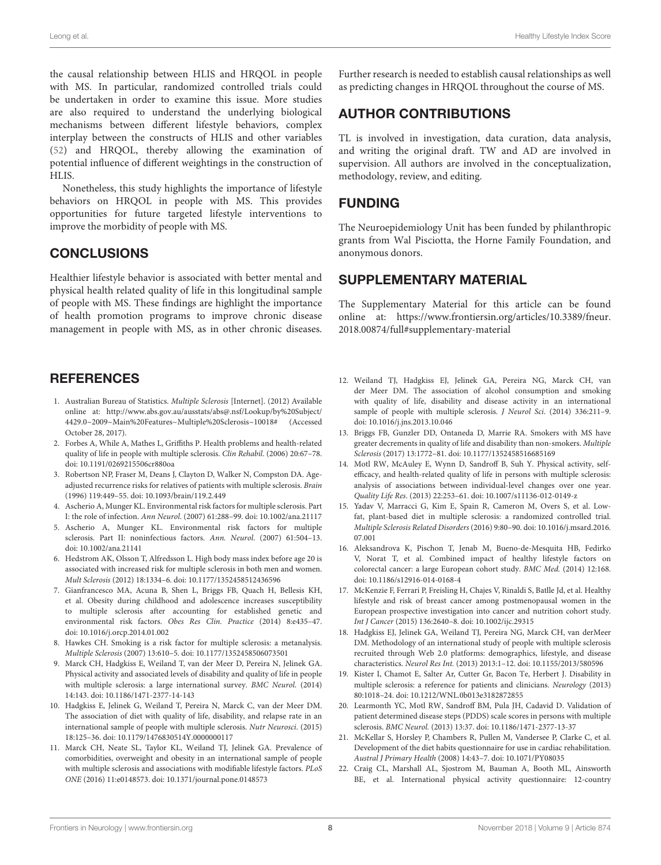the causal relationship between HLIS and HRQOL in people with MS. In particular, randomized controlled trials could be undertaken in order to examine this issue. More studies are also required to understand the underlying biological mechanisms between different lifestyle behaviors, complex interplay between the constructs of HLIS and other variables [\(52\)](#page-8-28) and HRQOL, thereby allowing the examination of potential influence of different weightings in the construction of HLIS.

Nonetheless, this study highlights the importance of lifestyle behaviors on HRQOL in people with MS. This provides opportunities for future targeted lifestyle interventions to improve the morbidity of people with MS.

# **CONCLUSIONS**

Healthier lifestyle behavior is associated with better mental and physical health related quality of life in this longitudinal sample of people with MS. These findings are highlight the importance of health promotion programs to improve chronic disease management in people with MS, as in other chronic diseases.

# **REFERENCES**

- <span id="page-7-0"></span>1. Australian Bureau of Statistics. Multiple Sclerosis [Internet]. (2012) Available online at: [http://www.abs.gov.au/ausstats/abs@.nsf/Lookup/by%20Subject/](http://www.abs.gov.au/ausstats/abs@.nsf/Lookup/by%20Subject/4429.0~2009~Main%20Features~Multiple%20Sclerosis~10018#) [4429.0~2009~Main%20Features~Multiple%20Sclerosis~10018#](http://www.abs.gov.au/ausstats/abs@.nsf/Lookup/by%20Subject/4429.0~2009~Main%20Features~Multiple%20Sclerosis~10018#) (Accessed October 28, 2017).
- <span id="page-7-1"></span>2. Forbes A, While A, Mathes L, Griffiths P. Health problems and health-related quality of life in people with multiple sclerosis. Clin Rehabil. (2006) 20:67–78. doi: [10.1191/0269215506cr880oa](https://doi.org/10.1191/0269215506cr880oa)
- <span id="page-7-2"></span>3. Robertson NP, Fraser M, Deans J, Clayton D, Walker N, Compston DA. Ageadjusted recurrence risks for relatives of patients with multiple sclerosis. Brain (1996) 119:449–55. doi: [10.1093/brain/119.2.449](https://doi.org/10.1093/brain/119.2.449)
- 4. Ascherio A, Munger KL. Environmental risk factors for multiple sclerosis. Part I: the role of infection. Ann Neurol. (2007) 61:288–99. doi: [10.1002/ana.21117](https://doi.org/10.1002/ana.21117)
- 5. Ascherio A, Munger KL. Environmental risk factors for multiple sclerosis. Part II: noninfectious factors. Ann. Neurol. (2007) 61:504–13. doi: [10.1002/ana.21141](https://doi.org/10.1002/ana.21141)
- 6. Hedstrom AK, Olsson T, Alfredsson L. High body mass index before age 20 is associated with increased risk for multiple sclerosis in both men and women. Mult Sclerosis (2012) 18:1334–6. doi: [10.1177/1352458512436596](https://doi.org/10.1177/1352458512436596)
- 7. Gianfrancesco MA, Acuna B, Shen L, Briggs FB, Quach H, Bellesis KH, et al. Obesity during childhood and adolescence increases susceptibility to multiple sclerosis after accounting for established genetic and environmental risk factors. Obes Res Clin. Practice (2014) 8:e435–47. doi: [10.1016/j.orcp.2014.01.002](https://doi.org/10.1016/j.orcp.2014.01.002)
- <span id="page-7-3"></span>8. Hawkes CH. Smoking is a risk factor for multiple sclerosis: a metanalysis. Multiple Sclerosis (2007) 13:610–5. doi: [10.1177/1352458506073501](https://doi.org/10.1177/1352458506073501)
- <span id="page-7-4"></span>9. Marck CH, Hadgkiss E, Weiland T, van der Meer D, Pereira N, Jelinek GA. Physical activity and associated levels of disability and quality of life in people with multiple sclerosis: a large international survey. BMC Neurol. (2014) 14:143. doi: [10.1186/1471-2377-14-143](https://doi.org/10.1186/1471-2377-14-143)
- <span id="page-7-5"></span>10. Hadgkiss E, Jelinek G, Weiland T, Pereira N, Marck C, van der Meer DM. The association of diet with quality of life, disability, and relapse rate in an international sample of people with multiple sclerosis. Nutr Neurosci. (2015) 18:125–36. doi: [10.1179/1476830514Y.0000000117](https://doi.org/10.1179/1476830514Y.0000000117)
- <span id="page-7-6"></span>11. Marck CH, Neate SL, Taylor KL, Weiland TJ, Jelinek GA. Prevalence of comorbidities, overweight and obesity in an international sample of people with multiple sclerosis and associations with modifiable lifestyle factors. PLoS ONE (2016) 11:e0148573. doi: [10.1371/journal.pone.0148573](https://doi.org/10.1371/journal.pone.0148573)

Further research is needed to establish causal relationships as well as predicting changes in HRQOL throughout the course of MS.

# AUTHOR CONTRIBUTIONS

TL is involved in investigation, data curation, data analysis, and writing the original draft. TW and AD are involved in supervision. All authors are involved in the conceptualization, methodology, review, and editing.

### FUNDING

The Neuroepidemiology Unit has been funded by philanthropic grants from Wal Pisciotta, the Horne Family Foundation, and anonymous donors.

### SUPPLEMENTARY MATERIAL

<span id="page-7-18"></span>The Supplementary Material for this article can be found [online at: https://www.frontiersin.org/articles/10.3389/fneur.](https://www.frontiersin.org/articles/10.3389/fneur.2018.00874/full#supplementary-material) 2018.00874/full#supplementary-material

- <span id="page-7-7"></span>12. Weiland TJ, Hadgkiss EJ, Jelinek GA, Pereira NG, Marck CH, van der Meer DM. The association of alcohol consumption and smoking with quality of life, disability and disease activity in an international sample of people with multiple sclerosis. *J Neurol Sci.* (2014) 336:211-9. doi: [10.1016/j.jns.2013.10.046](https://doi.org/10.1016/j.jns.2013.10.046)
- <span id="page-7-8"></span>13. Briggs FB, Gunzler DD, Ontaneda D, Marrie RA. Smokers with MS have greater decrements in quality of life and disability than non-smokers. Multiple Sclerosis (2017) 13:1772–81. doi: [10.1177/1352458516685169](https://doi.org/10.1177/1352458516685169)
- <span id="page-7-9"></span>14. Motl RW, McAuley E, Wynn D, Sandroff B, Suh Y. Physical activity, selfefficacy, and health-related quality of life in persons with multiple sclerosis: analysis of associations between individual-level changes over one year. Quality Life Res. (2013) 22:253–61. doi: [10.1007/s11136-012-0149-z](https://doi.org/10.1007/s11136-012-0149-z)
- <span id="page-7-10"></span>15. Yadav V, Marracci G, Kim E, Spain R, Cameron M, Overs S, et al. Lowfat, plant-based diet in multiple sclerosis: a randomized controlled trial. Multiple Sclerosis Related Disorders [\(2016\) 9:80–90. doi: 10.1016/j.msard.2016.](https://doi.org/10.1016/j.msard.2016.07.001) 07.001
- <span id="page-7-11"></span>16. Aleksandrova K, Pischon T, Jenab M, Bueno-de-Mesquita HB, Fedirko V, Norat T, et al. Combined impact of healthy lifestyle factors on colorectal cancer: a large European cohort study. BMC Med. (2014) 12:168. doi: [10.1186/s12916-014-0168-4](https://doi.org/10.1186/s12916-014-0168-4)
- <span id="page-7-12"></span>17. McKenzie F, Ferrari P, Freisling H, Chajes V, Rinaldi S, Batlle Jd, et al. Healthy lifestyle and risk of breast cancer among postmenopausal women in the European prospective investigation into cancer and nutrition cohort study. Int J Cancer (2015) 136:2640–8. doi: [10.1002/ijc.29315](https://doi.org/10.1002/ijc.29315)
- <span id="page-7-13"></span>18. Hadgkiss EJ, Jelinek GA, Weiland TJ, Pereira NG, Marck CH, van derMeer DM. Methodology of an international study of people with multiple sclerosis recruited through Web 2.0 platforms: demographics, lifestyle, and disease characteristics. Neurol Res Int. (2013) 2013:1–12. doi: [10.1155/2013/580596](https://doi.org/10.1155/2013/580596)
- <span id="page-7-14"></span>19. Kister I, Chamot E, Salter Ar, Cutter Gr, Bacon Te, Herbert J. Disability in multiple sclerosis: a reference for patients and clinicians. Neurology (2013) 80:1018–24. doi: [10.1212/WNL.0b013e3182872855](https://doi.org/10.1212/WNL.0b013e3182872855)
- <span id="page-7-15"></span>20. Learmonth YC, Motl RW, Sandroff BM, Pula JH, Cadavid D. Validation of patient determined disease steps (PDDS) scale scores in persons with multiple sclerosis. BMC Neurol. (2013) 13:37. doi: [10.1186/1471-2377-13-37](https://doi.org/10.1186/1471-2377-13-37)
- <span id="page-7-16"></span>21. McKellar S, Horsley P, Chambers R, Pullen M, Vandersee P, Clarke C, et al. Development of the diet habits questionnaire for use in cardiac rehabilitation. Austral J Primary Health (2008) 14:43–7. doi: [10.1071/PY08035](https://doi.org/10.1071/PY08035)
- <span id="page-7-17"></span>22. Craig CL, Marshall AL, Sjostrom M, Bauman A, Booth ML, Ainsworth BE, et al. International physical activity questionnaire: 12-country